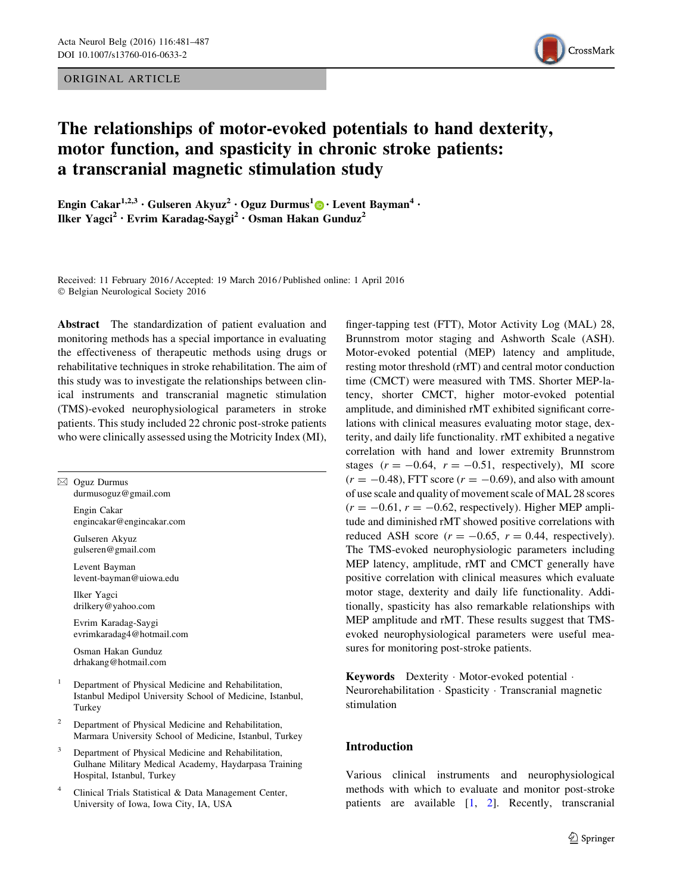ORIGINAL ARTICLE



# The relationships of motor-evoked potentials to hand dexterity, motor function, and spasticity in chronic stroke patients: a transcranial magnetic stimulation study

Engin Cakar<sup>1,2,3</sup> • Gulseren Akyuz<sup>2</sup> • Oguz Durmus<sup>1</sup>  $\odot$  • Levent Bayman<sup>4</sup> • Ilker Yagci<sup>2</sup> • Evrim Karadag-Saygi<sup>2</sup> • Osman Hakan Gunduz<sup>2</sup>

Received: 11 February 2016 / Accepted: 19 March 2016 / Published online: 1 April 2016 © Belgian Neurological Society 2016

Abstract The standardization of patient evaluation and monitoring methods has a special importance in evaluating the effectiveness of therapeutic methods using drugs or rehabilitative techniques in stroke rehabilitation. The aim of this study was to investigate the relationships between clinical instruments and transcranial magnetic stimulation (TMS)-evoked neurophysiological parameters in stroke patients. This study included 22 chronic post-stroke patients who were clinically assessed using the Motricity Index (MI),

| ⊠            | Oguz Durmus<br>$d$ urmusoguz@gmail.com                                                                                     |
|--------------|----------------------------------------------------------------------------------------------------------------------------|
|              | Engin Cakar<br>engincakar@engincakar.com                                                                                   |
|              | Gulseren Akyuz<br>gulseren@gmail.com                                                                                       |
|              | Levent Bayman<br>levent-bayman@uiowa.edu                                                                                   |
|              | Ilker Yagci<br>drilkery@yahoo.com                                                                                          |
|              | Evrim Karadag-Saygi<br>evrimkaradag4@hotmail.com                                                                           |
|              | Osman Hakan Gunduz<br>drhakang@hotmail.com                                                                                 |
| $\mathbf{1}$ | Department of Physical Medicine and Rehabilitation,<br>Istanbul Medipol University School of Medicine, Istanbul,<br>Turkey |
| 2            | Department of Physical Medicine and Rehabilitation,<br>Marmara University School of Medicine, Istanbul, Turkey             |
| 3            | Department of Physical Medicine and Rehabilitation,                                                                        |

- nabilitation, Gulhane Military Medical Academy, Haydarpasa Training Hospital, Istanbul, Turkey
- Clinical Trials Statistical & Data Management Center, University of Iowa, Iowa City, IA, USA

finger-tapping test (FTT), Motor Activity Log (MAL) 28, Brunnstrom motor staging and Ashworth Scale (ASH). Motor-evoked potential (MEP) latency and amplitude, resting motor threshold (rMT) and central motor conduction time (CMCT) were measured with TMS. Shorter MEP-latency, shorter CMCT, higher motor-evoked potential amplitude, and diminished rMT exhibited significant correlations with clinical measures evaluating motor stage, dexterity, and daily life functionality. rMT exhibited a negative correlation with hand and lower extremity Brunnstrom stages  $(r = -0.64, r = -0.51,$  respectively), MI score  $(r = -0.48)$ , FTT score  $(r = -0.69)$ , and also with amount of use scale and quality of movement scale of MAL 28 scores  $(r = -0.61, r = -0.62$ , respectively). Higher MEP amplitude and diminished rMT showed positive correlations with reduced ASH score  $(r = -0.65, r = 0.44,$  respectively). The TMS-evoked neurophysiologic parameters including MEP latency, amplitude, rMT and CMCT generally have positive correlation with clinical measures which evaluate motor stage, dexterity and daily life functionality. Additionally, spasticity has also remarkable relationships with MEP amplitude and rMT. These results suggest that TMSevoked neurophysiological parameters were useful measures for monitoring post-stroke patients.

Keywords Dexterity - Motor-evoked potential - Neurorehabilitation - Spasticity - Transcranial magnetic stimulation

## Introduction

Various clinical instruments and neurophysiological methods with which to evaluate and monitor post-stroke patients are available [\[1](#page-6-0), [2](#page-6-0)]. Recently, transcranial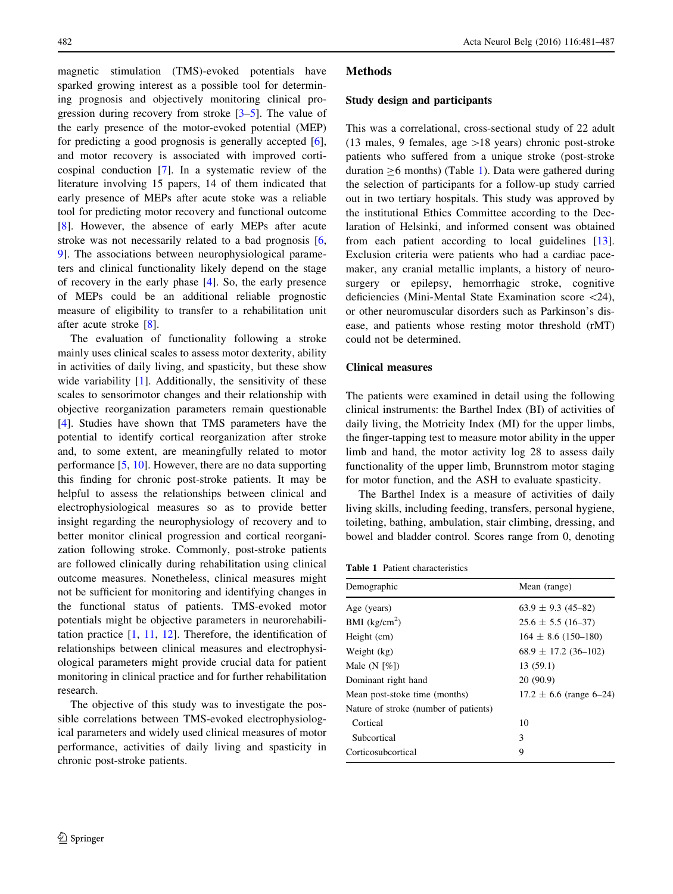magnetic stimulation (TMS)-evoked potentials have sparked growing interest as a possible tool for determining prognosis and objectively monitoring clinical progression during recovery from stroke [\[3–5](#page-6-0)]. The value of the early presence of the motor-evoked potential (MEP) for predicting a good prognosis is generally accepted [\[6](#page-6-0)], and motor recovery is associated with improved corticospinal conduction [\[7](#page-6-0)]. In a systematic review of the literature involving 15 papers, 14 of them indicated that early presence of MEPs after acute stoke was a reliable tool for predicting motor recovery and functional outcome [\[8](#page-6-0)]. However, the absence of early MEPs after acute stroke was not necessarily related to a bad prognosis [[6,](#page-6-0) [9](#page-6-0)]. The associations between neurophysiological parameters and clinical functionality likely depend on the stage of recovery in the early phase [[4\]](#page-6-0). So, the early presence of MEPs could be an additional reliable prognostic measure of eligibility to transfer to a rehabilitation unit after acute stroke [\[8](#page-6-0)].

The evaluation of functionality following a stroke mainly uses clinical scales to assess motor dexterity, ability in activities of daily living, and spasticity, but these show wide variability  $[1]$  $[1]$  $[1]$ . Additionally, the sensitivity of these scales to sensorimotor changes and their relationship with objective reorganization parameters remain questionable [\[4](#page-6-0)]. Studies have shown that TMS parameters have the potential to identify cortical reorganization after stroke and, to some extent, are meaningfully related to motor performance [\[5](#page-6-0), [10](#page-6-0)]. However, there are no data supporting this finding for chronic post-stroke patients. It may be helpful to assess the relationships between clinical and electrophysiological measures so as to provide better insight regarding the neurophysiology of recovery and to better monitor clinical progression and cortical reorganization following stroke. Commonly, post-stroke patients are followed clinically during rehabilitation using clinical outcome measures. Nonetheless, clinical measures might not be sufficient for monitoring and identifying changes in the functional status of patients. TMS-evoked motor potentials might be objective parameters in neurorehabilitation practice [\[1](#page-6-0), [11](#page-6-0), [12](#page-6-0)]. Therefore, the identification of relationships between clinical measures and electrophysiological parameters might provide crucial data for patient monitoring in clinical practice and for further rehabilitation research.

The objective of this study was to investigate the possible correlations between TMS-evoked electrophysiological parameters and widely used clinical measures of motor performance, activities of daily living and spasticity in chronic post-stroke patients.

## Methods

#### Study design and participants

This was a correlational, cross-sectional study of 22 adult (13 males, 9 females, age  $>18$  years) chronic post-stroke patients who suffered from a unique stroke (post-stroke duration  $\geq 6$  months) (Table 1). Data were gathered during the selection of participants for a follow-up study carried out in two tertiary hospitals. This study was approved by the institutional Ethics Committee according to the Declaration of Helsinki, and informed consent was obtained from each patient according to local guidelines [\[13](#page-6-0)]. Exclusion criteria were patients who had a cardiac pacemaker, any cranial metallic implants, a history of neurosurgery or epilepsy, hemorrhagic stroke, cognitive deficiencies (Mini-Mental State Examination score \24), or other neuromuscular disorders such as Parkinson's disease, and patients whose resting motor threshold (rMT) could not be determined.

## Clinical measures

The patients were examined in detail using the following clinical instruments: the Barthel Index (BI) of activities of daily living, the Motricity Index (MI) for the upper limbs, the finger-tapping test to measure motor ability in the upper limb and hand, the motor activity log 28 to assess daily functionality of the upper limb, Brunnstrom motor staging for motor function, and the ASH to evaluate spasticity.

The Barthel Index is a measure of activities of daily living skills, including feeding, transfers, personal hygiene, toileting, bathing, ambulation, stair climbing, dressing, and bowel and bladder control. Scores range from 0, denoting

| <b>Table 1</b> Patient characteristics |
|----------------------------------------|
|                                        |

| Demographic                           | Mean (range)                |  |  |
|---------------------------------------|-----------------------------|--|--|
| Age (years)                           | $63.9 \pm 9.3$ (45-82)      |  |  |
| BMI $(kg/cm2)$                        | $25.6 \pm 5.5$ (16-37)      |  |  |
| Height (cm)                           | $164 \pm 8.6$ (150-180)     |  |  |
| Weight (kg)                           | $68.9 \pm 17.2$ (36-102)    |  |  |
| Male $(N \lceil \% \rceil)$           | 13(59.1)                    |  |  |
| Dominant right hand                   | 20(90.9)                    |  |  |
| Mean post-stoke time (months)         | $17.2 \pm 6.6$ (range 6–24) |  |  |
| Nature of stroke (number of patients) |                             |  |  |
| Cortical                              | 10                          |  |  |
| Subcortical                           | 3                           |  |  |
| Corticosubcortical                    | 9                           |  |  |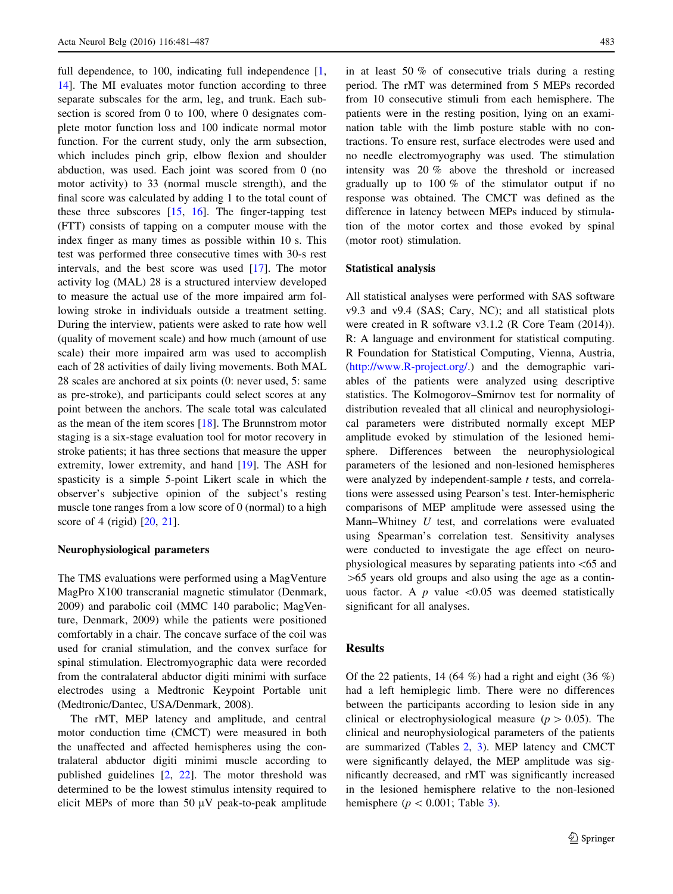full dependence, to 100, indicating full independence [[1,](#page-6-0) [14](#page-6-0)]. The MI evaluates motor function according to three separate subscales for the arm, leg, and trunk. Each subsection is scored from 0 to 100, where 0 designates complete motor function loss and 100 indicate normal motor function. For the current study, only the arm subsection, which includes pinch grip, elbow flexion and shoulder abduction, was used. Each joint was scored from 0 (no motor activity) to 33 (normal muscle strength), and the final score was calculated by adding 1 to the total count of these three subscores [\[15](#page-6-0), [16\]](#page-6-0). The finger-tapping test (FTT) consists of tapping on a computer mouse with the index finger as many times as possible within 10 s. This test was performed three consecutive times with 30-s rest intervals, and the best score was used [[17\]](#page-6-0). The motor activity log (MAL) 28 is a structured interview developed to measure the actual use of the more impaired arm following stroke in individuals outside a treatment setting. During the interview, patients were asked to rate how well (quality of movement scale) and how much (amount of use scale) their more impaired arm was used to accomplish each of 28 activities of daily living movements. Both MAL 28 scales are anchored at six points (0: never used, 5: same as pre-stroke), and participants could select scores at any point between the anchors. The scale total was calculated as the mean of the item scores [\[18](#page-6-0)]. The Brunnstrom motor staging is a six-stage evaluation tool for motor recovery in stroke patients; it has three sections that measure the upper extremity, lower extremity, and hand [[19\]](#page-6-0). The ASH for spasticity is a simple 5-point Likert scale in which the observer's subjective opinion of the subject's resting muscle tone ranges from a low score of 0 (normal) to a high score of 4 (rigid) [[20,](#page-6-0) [21](#page-6-0)].

#### Neurophysiological parameters

The TMS evaluations were performed using a MagVenture MagPro X100 transcranial magnetic stimulator (Denmark, 2009) and parabolic coil (MMC 140 parabolic; MagVenture, Denmark, 2009) while the patients were positioned comfortably in a chair. The concave surface of the coil was used for cranial stimulation, and the convex surface for spinal stimulation. Electromyographic data were recorded from the contralateral abductor digiti minimi with surface electrodes using a Medtronic Keypoint Portable unit (Medtronic/Dantec, USA/Denmark, 2008).

The rMT, MEP latency and amplitude, and central motor conduction time (CMCT) were measured in both the unaffected and affected hemispheres using the contralateral abductor digiti minimi muscle according to published guidelines [[2,](#page-6-0) [22\]](#page-6-0). The motor threshold was determined to be the lowest stimulus intensity required to elicit MEPs of more than  $50 \mu V$  peak-to-peak amplitude in at least 50 % of consecutive trials during a resting period. The rMT was determined from 5 MEPs recorded from 10 consecutive stimuli from each hemisphere. The patients were in the resting position, lying on an examination table with the limb posture stable with no contractions. To ensure rest, surface electrodes were used and no needle electromyography was used. The stimulation intensity was 20 % above the threshold or increased gradually up to 100 % of the stimulator output if no response was obtained. The CMCT was defined as the difference in latency between MEPs induced by stimulation of the motor cortex and those evoked by spinal (motor root) stimulation.

## Statistical analysis

All statistical analyses were performed with SAS software v9.3 and v9.4 (SAS; Cary, NC); and all statistical plots were created in R software v3.1.2 (R Core Team (2014)). R: A language and environment for statistical computing. R Foundation for Statistical Computing, Vienna, Austria, [\(http://www.R-project.org/.](http://www.R-project.org/)) and the demographic variables of the patients were analyzed using descriptive statistics. The Kolmogorov–Smirnov test for normality of distribution revealed that all clinical and neurophysiological parameters were distributed normally except MEP amplitude evoked by stimulation of the lesioned hemisphere. Differences between the neurophysiological parameters of the lesioned and non-lesioned hemispheres were analyzed by independent-sample t tests, and correlations were assessed using Pearson's test. Inter-hemispheric comparisons of MEP amplitude were assessed using the Mann–Whitney  $U$  test, and correlations were evaluated using Spearman's correlation test. Sensitivity analyses were conducted to investigate the age effect on neurophysiological measures by separating patients into\65 and  $>65$  years old groups and also using the age as a continuous factor. A  $p$  value  $\leq 0.05$  was deemed statistically significant for all analyses.

## Results

Of the 22 patients, 14 (64 %) had a right and eight (36 %) had a left hemiplegic limb. There were no differences between the participants according to lesion side in any clinical or electrophysiological measure ( $p > 0.05$ ). The clinical and neurophysiological parameters of the patients are summarized (Tables [2](#page-3-0), [3](#page-3-0)). MEP latency and CMCT were significantly delayed, the MEP amplitude was significantly decreased, and rMT was significantly increased in the lesioned hemisphere relative to the non-lesioned hemisphere ( $p < 0.001$ ; Table [3\)](#page-3-0).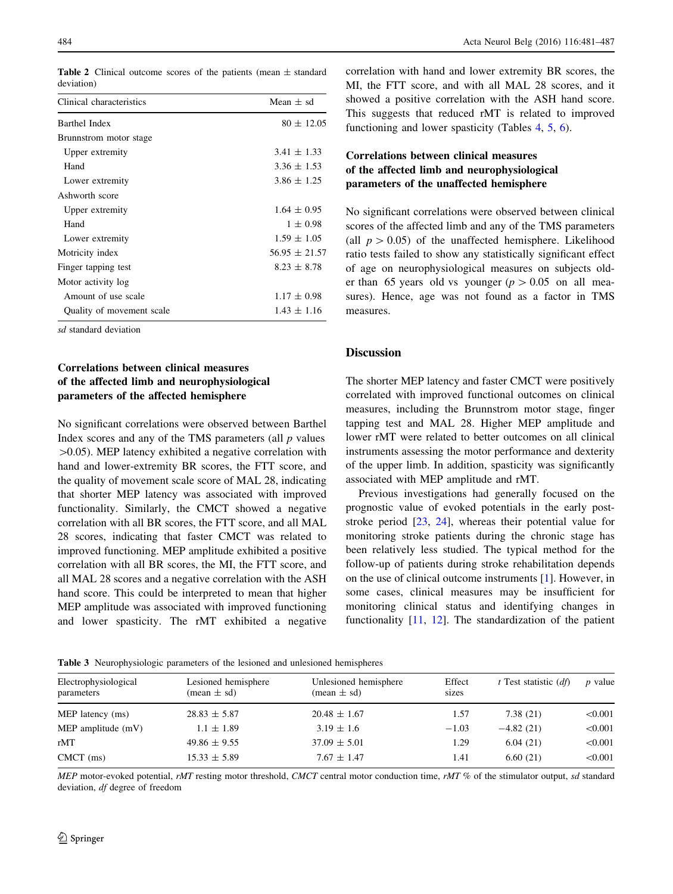Table 2 Clinical outcome scores of the patients (mean  $\pm$  standard deviation)

| Clinical characteristics  | Mean $\pm$ sd     |
|---------------------------|-------------------|
| Barthel Index             | $80 \pm 12.05$    |
| Brunnstrom motor stage    |                   |
| Upper extremity           | $3.41 \pm 1.33$   |
| Hand                      | $3.36 \pm 1.53$   |
| Lower extremity           | $3.86 \pm 1.25$   |
| Ashworth score            |                   |
| Upper extremity           | $1.64 \pm 0.95$   |
| Hand                      | $1 \pm 0.98$      |
| Lower extremity           | $1.59 \pm 1.05$   |
| Motricity index           | $56.95 \pm 21.57$ |
| Finger tapping test       | $8.23 \pm 8.78$   |
| Motor activity log        |                   |
| Amount of use scale       | $1.17 \pm 0.98$   |
| Quality of movement scale | $1.43 \pm 1.16$   |

sd standard deviation

# Correlations between clinical measures of the affected limb and neurophysiological parameters of the affected hemisphere

No significant correlations were observed between Barthel Index scores and any of the TMS parameters (all  $p$  values  $>0.05$ ). MEP latency exhibited a negative correlation with hand and lower-extremity BR scores, the FTT score, and the quality of movement scale score of MAL 28, indicating that shorter MEP latency was associated with improved functionality. Similarly, the CMCT showed a negative correlation with all BR scores, the FTT score, and all MAL 28 scores, indicating that faster CMCT was related to improved functioning. MEP amplitude exhibited a positive correlation with all BR scores, the MI, the FTT score, and all MAL 28 scores and a negative correlation with the ASH hand score. This could be interpreted to mean that higher MEP amplitude was associated with improved functioning and lower spasticity. The rMT exhibited a negative

<span id="page-3-0"></span>484 Acta Neurol Belg (2016) 116:481–487

correlation with hand and lower extremity BR scores, the MI, the FTT score, and with all MAL 28 scores, and it showed a positive correlation with the ASH hand score. This suggests that reduced rMT is related to improved functioning and lower spasticity (Tables [4,](#page-4-0) [5,](#page-4-0) [6\)](#page-4-0).

# Correlations between clinical measures of the affected limb and neurophysiological parameters of the unaffected hemisphere

No significant correlations were observed between clinical scores of the affected limb and any of the TMS parameters (all  $p > 0.05$ ) of the unaffected hemisphere. Likelihood ratio tests failed to show any statistically significant effect of age on neurophysiological measures on subjects older than 65 years old vs younger ( $p > 0.05$  on all measures). Hence, age was not found as a factor in TMS measures.

## **Discussion**

The shorter MEP latency and faster CMCT were positively correlated with improved functional outcomes on clinical measures, including the Brunnstrom motor stage, finger tapping test and MAL 28. Higher MEP amplitude and lower rMT were related to better outcomes on all clinical instruments assessing the motor performance and dexterity of the upper limb. In addition, spasticity was significantly associated with MEP amplitude and rMT.

Previous investigations had generally focused on the prognostic value of evoked potentials in the early poststroke period [[23,](#page-6-0) [24\]](#page-6-0), whereas their potential value for monitoring stroke patients during the chronic stage has been relatively less studied. The typical method for the follow-up of patients during stroke rehabilitation depends on the use of clinical outcome instruments [[1\]](#page-6-0). However, in some cases, clinical measures may be insufficient for monitoring clinical status and identifying changes in functionality [\[11](#page-6-0), [12\]](#page-6-0). The standardization of the patient

Table 3 Neurophysiologic parameters of the lesioned and unlesioned hemispheres

| Electrophysiological<br>parameters | Lesioned hemisphere<br>$(\text{mean} \pm \text{sd})$ | Unlesioned hemisphere<br>$(\text{mean} \pm \text{sd})$ | Effect<br>sizes | $t$ Test statistic $(df)$ | <i>p</i> value |
|------------------------------------|------------------------------------------------------|--------------------------------------------------------|-----------------|---------------------------|----------------|
| MEP latency (ms)                   | $28.83 \pm 5.87$                                     | $20.48 \pm 1.67$                                       | 1.57            | 7.38(21)                  | < 0.001        |
| MEP amplitude $(mV)$               | $1.1 \pm 1.89$                                       | $3.19 \pm 1.6$                                         | $-1.03$         | $-4.82(21)$               | < 0.001        |
| rMT                                | $49.86 \pm 9.55$                                     | $37.09 \pm 5.01$                                       | 1.29            | 6.04(21)                  | < 0.001        |
| $CMCT$ (ms)                        | $15.33 \pm 5.89$                                     | $7.67 \pm 1.47$                                        | 1.41            | 6.60(21)                  | < 0.001        |
|                                    |                                                      |                                                        |                 |                           |                |

MEP motor-evoked potential, rMT resting motor threshold, CMCT central motor conduction time, rMT % of the stimulator output, sd standard deviation, df degree of freedom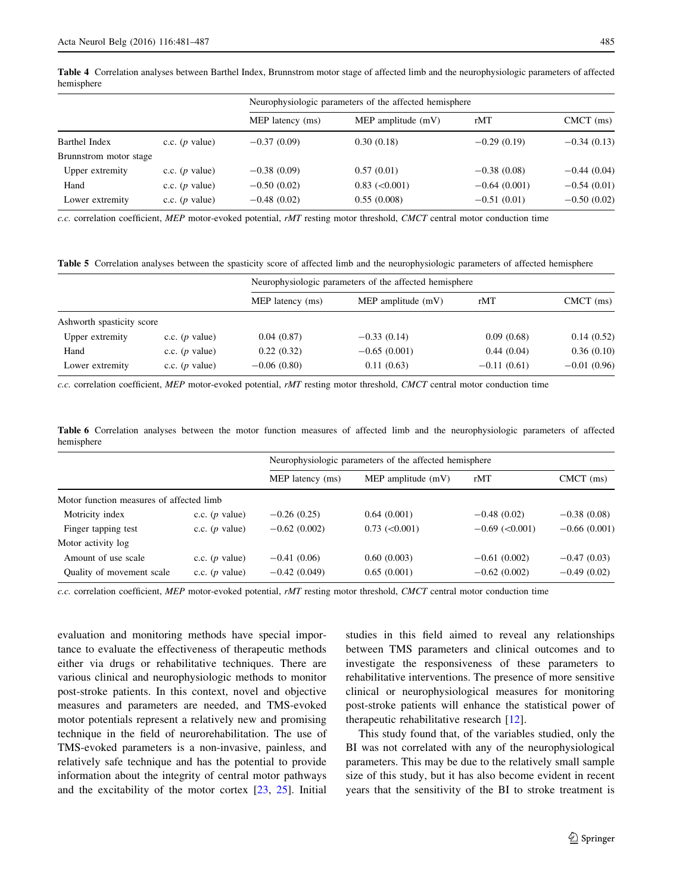<span id="page-4-0"></span>hemisphere

|                        |                  | Neurophysiologic parameters of the affected hemisphere |                      |                |               |  |
|------------------------|------------------|--------------------------------------------------------|----------------------|----------------|---------------|--|
|                        |                  | MEP latency (ms)                                       | MEP amplitude $(mV)$ | rMT            | $CMCT$ (ms)   |  |
| Barthel Index          | c.c. $(p$ value) | $-0.37(0.09)$                                          | 0.30(0.18)           | $-0.29(0.19)$  | $-0.34(0.13)$ |  |
| Brunnstrom motor stage |                  |                                                        |                      |                |               |  |
| Upper extremity        | c.c. $(p$ value) | $-0.38(0.09)$                                          | 0.57(0.01)           | $-0.38(0.08)$  | $-0.44(0.04)$ |  |
| Hand                   | c.c. $(p$ value) | $-0.50(0.02)$                                          | $0.83$ (< $0.001$ )  | $-0.64(0.001)$ | $-0.54(0.01)$ |  |
| Lower extremity        | c.c. $(p$ value) | $-0.48(0.02)$                                          | 0.55(0.008)          | $-0.51(0.01)$  | $-0.50(0.02)$ |  |

c.c. correlation coefficient, MEP motor-evoked potential, rMT resting motor threshold, CMCT central motor conduction time

Table 5 Correlation analyses between the spasticity score of affected limb and the neurophysiologic parameters of affected hemisphere

|                           |                  | Neurophysiologic parameters of the affected hemisphere |                      |               |               |  |
|---------------------------|------------------|--------------------------------------------------------|----------------------|---------------|---------------|--|
|                           |                  | MEP latency (ms)                                       | MEP amplitude $(mV)$ | rMT           | $CMCT$ (ms)   |  |
| Ashworth spasticity score |                  |                                                        |                      |               |               |  |
| Upper extremity           | c.c. $(p$ value) | 0.04(0.87)                                             | $-0.33(0.14)$        | 0.09(0.68)    | 0.14(0.52)    |  |
| Hand                      | c.c. $(p$ value) | 0.22(0.32)                                             | $-0.65(0.001)$       | 0.44(0.04)    | 0.36(0.10)    |  |
| Lower extremity           | c.c. $(p$ value) | $-0.06(0.80)$                                          | 0.11(0.63)           | $-0.11(0.61)$ | $-0.01(0.96)$ |  |

c.c. correlation coefficient, MEP motor-evoked potential,  $rMT$  resting motor threshold, CMCT central motor conduction time

Table 6 Correlation analyses between the motor function measures of affected limb and the neurophysiologic parameters of affected hemisphere

|                                          |                  | Neurophysiologic parameters of the affected hemisphere |                      |                       |                |
|------------------------------------------|------------------|--------------------------------------------------------|----------------------|-----------------------|----------------|
|                                          |                  | MEP latency (ms)                                       | MEP amplitude $(mV)$ | rMT                   | $CMCT$ (ms)    |
| Motor function measures of affected limb |                  |                                                        |                      |                       |                |
| Motricity index                          | c.c. $(p$ value) | $-0.26(0.25)$                                          | 0.64(0.001)          | $-0.48(0.02)$         | $-0.38(0.08)$  |
| Finger tapping test                      | c.c. $(p$ value) | $-0.62(0.002)$                                         | $0.73$ (< $0.001$ )  | $-0.69$ ( $< 0.001$ ) | $-0.66(0.001)$ |
| Motor activity log                       |                  |                                                        |                      |                       |                |
| Amount of use scale                      | c.c. $(p$ value) | $-0.41(0.06)$                                          | 0.60(0.003)          | $-0.61(0.002)$        | $-0.47(0.03)$  |
| Quality of movement scale                | c.c. $(p$ value) | $-0.42(0.049)$                                         | 0.65(0.001)          | $-0.62(0.002)$        | $-0.49(0.02)$  |

c.c. correlation coefficient, MEP motor-evoked potential, rMT resting motor threshold, CMCT central motor conduction time

evaluation and monitoring methods have special importance to evaluate the effectiveness of therapeutic methods either via drugs or rehabilitative techniques. There are various clinical and neurophysiologic methods to monitor post-stroke patients. In this context, novel and objective measures and parameters are needed, and TMS-evoked motor potentials represent a relatively new and promising technique in the field of neurorehabilitation. The use of TMS-evoked parameters is a non-invasive, painless, and relatively safe technique and has the potential to provide information about the integrity of central motor pathways and the excitability of the motor cortex [[23,](#page-6-0) [25\]](#page-6-0). Initial studies in this field aimed to reveal any relationships between TMS parameters and clinical outcomes and to investigate the responsiveness of these parameters to rehabilitative interventions. The presence of more sensitive clinical or neurophysiological measures for monitoring post-stroke patients will enhance the statistical power of therapeutic rehabilitative research [\[12](#page-6-0)].

This study found that, of the variables studied, only the BI was not correlated with any of the neurophysiological parameters. This may be due to the relatively small sample size of this study, but it has also become evident in recent years that the sensitivity of the BI to stroke treatment is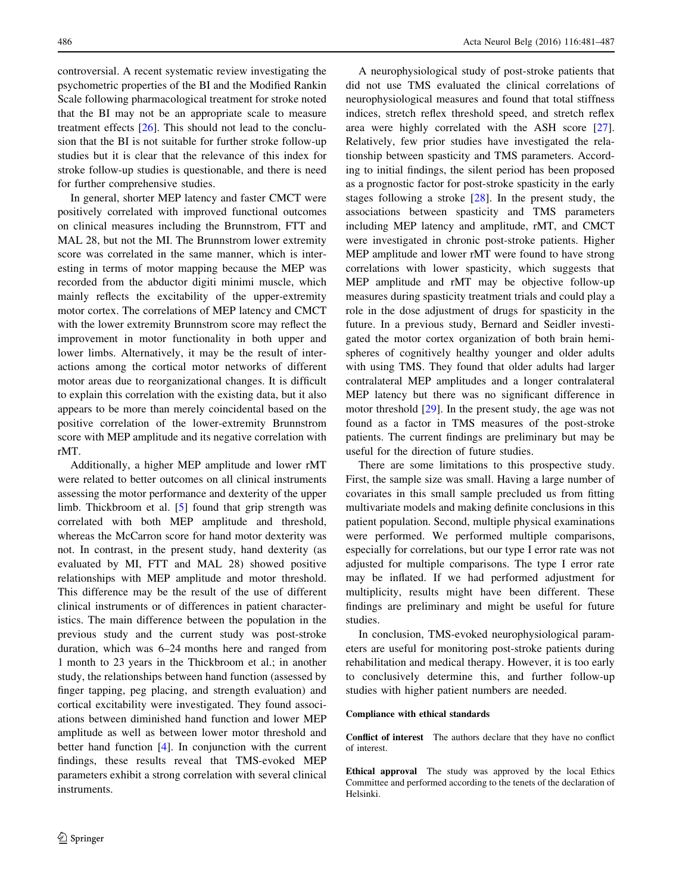controversial. A recent systematic review investigating the psychometric properties of the BI and the Modified Rankin Scale following pharmacological treatment for stroke noted that the BI may not be an appropriate scale to measure treatment effects [[26\]](#page-6-0). This should not lead to the conclusion that the BI is not suitable for further stroke follow-up studies but it is clear that the relevance of this index for stroke follow-up studies is questionable, and there is need for further comprehensive studies.

In general, shorter MEP latency and faster CMCT were positively correlated with improved functional outcomes on clinical measures including the Brunnstrom, FTT and MAL 28, but not the MI. The Brunnstrom lower extremity score was correlated in the same manner, which is interesting in terms of motor mapping because the MEP was recorded from the abductor digiti minimi muscle, which mainly reflects the excitability of the upper-extremity motor cortex. The correlations of MEP latency and CMCT with the lower extremity Brunnstrom score may reflect the improvement in motor functionality in both upper and lower limbs. Alternatively, it may be the result of interactions among the cortical motor networks of different motor areas due to reorganizational changes. It is difficult to explain this correlation with the existing data, but it also appears to be more than merely coincidental based on the positive correlation of the lower-extremity Brunnstrom score with MEP amplitude and its negative correlation with rMT.

Additionally, a higher MEP amplitude and lower rMT were related to better outcomes on all clinical instruments assessing the motor performance and dexterity of the upper limb. Thickbroom et al. [\[5](#page-6-0)] found that grip strength was correlated with both MEP amplitude and threshold, whereas the McCarron score for hand motor dexterity was not. In contrast, in the present study, hand dexterity (as evaluated by MI, FTT and MAL 28) showed positive relationships with MEP amplitude and motor threshold. This difference may be the result of the use of different clinical instruments or of differences in patient characteristics. The main difference between the population in the previous study and the current study was post-stroke duration, which was 6–24 months here and ranged from 1 month to 23 years in the Thickbroom et al.; in another study, the relationships between hand function (assessed by finger tapping, peg placing, and strength evaluation) and cortical excitability were investigated. They found associations between diminished hand function and lower MEP amplitude as well as between lower motor threshold and better hand function [[4\]](#page-6-0). In conjunction with the current findings, these results reveal that TMS-evoked MEP parameters exhibit a strong correlation with several clinical instruments.

A neurophysiological study of post-stroke patients that did not use TMS evaluated the clinical correlations of neurophysiological measures and found that total stiffness indices, stretch reflex threshold speed, and stretch reflex area were highly correlated with the ASH score [\[27](#page-6-0)]. Relatively, few prior studies have investigated the relationship between spasticity and TMS parameters. According to initial findings, the silent period has been proposed as a prognostic factor for post-stroke spasticity in the early stages following a stroke [[28\]](#page-6-0). In the present study, the associations between spasticity and TMS parameters including MEP latency and amplitude, rMT, and CMCT were investigated in chronic post-stroke patients. Higher MEP amplitude and lower rMT were found to have strong correlations with lower spasticity, which suggests that MEP amplitude and rMT may be objective follow-up measures during spasticity treatment trials and could play a role in the dose adjustment of drugs for spasticity in the future. In a previous study, Bernard and Seidler investigated the motor cortex organization of both brain hemispheres of cognitively healthy younger and older adults with using TMS. They found that older adults had larger contralateral MEP amplitudes and a longer contralateral MEP latency but there was no significant difference in motor threshold [[29\]](#page-6-0). In the present study, the age was not found as a factor in TMS measures of the post-stroke patients. The current findings are preliminary but may be useful for the direction of future studies.

There are some limitations to this prospective study. First, the sample size was small. Having a large number of covariates in this small sample precluded us from fitting multivariate models and making definite conclusions in this patient population. Second, multiple physical examinations were performed. We performed multiple comparisons, especially for correlations, but our type I error rate was not adjusted for multiple comparisons. The type I error rate may be inflated. If we had performed adjustment for multiplicity, results might have been different. These findings are preliminary and might be useful for future studies.

In conclusion, TMS-evoked neurophysiological parameters are useful for monitoring post-stroke patients during rehabilitation and medical therapy. However, it is too early to conclusively determine this, and further follow-up studies with higher patient numbers are needed.

### Compliance with ethical standards

Conflict of interest The authors declare that they have no conflict of interest.

Ethical approval The study was approved by the local Ethics Committee and performed according to the tenets of the declaration of Helsinki.